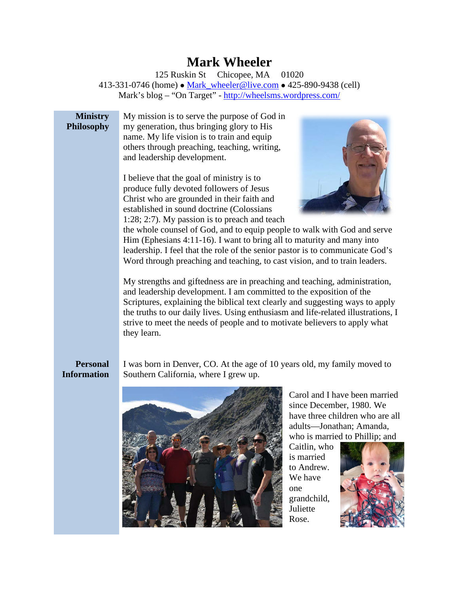# **Mark Wheeler**

125 Ruskin St Chicopee, MA 01020 413-331-0746 (home) • Mark wheeler@live.com • 425-890-9438 (cell) Mark's blog – "On Target" - <http://wheelsms.wordpress.com/>

#### **Ministry Philosophy**

My mission is to serve the purpose of God in my generation, thus bringing glory to His name. My life vision is to train and equip others through preaching, teaching, writing, and leadership development.

I believe that the goal of ministry is to produce fully devoted followers of Jesus Christ who are grounded in their faith and established in sound doctrine (Colossians 1:28; 2:7). My passion is to preach and teach



the whole counsel of God, and to equip people to walk with God and serve Him (Ephesians 4:11-16). I want to bring all to maturity and many into leadership. I feel that the role of the senior pastor is to communicate God's Word through preaching and teaching, to cast vision, and to train leaders.

My strengths and giftedness are in preaching and teaching, administration, and leadership development. I am committed to the exposition of the Scriptures, explaining the biblical text clearly and suggesting ways to apply the truths to our daily lives. Using enthusiasm and life-related illustrations, I strive to meet the needs of people and to motivate believers to apply what they learn.

## **Personal Information**

I was born in Denver, CO. At the age of 10 years old, my family moved to Southern California, where I grew up.



Carol and I have been married since December, 1980. We have three children who are all adults—Jonathan; Amanda, who is married to Phillip; and

Caitlin, who is married to Andrew. We have one grandchild, Juliette Rose.

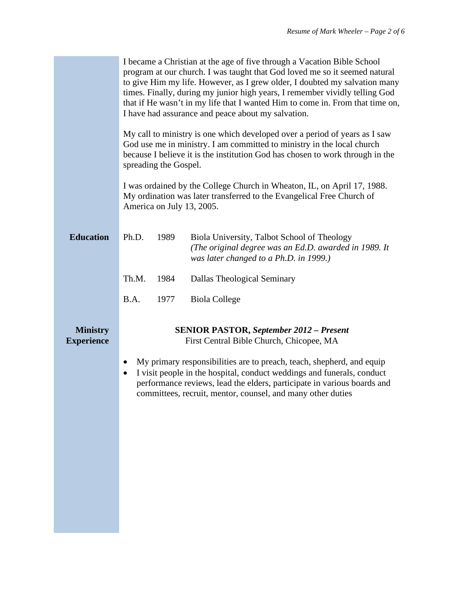|                                      | I became a Christian at the age of five through a Vacation Bible School<br>program at our church. I was taught that God loved me so it seemed natural<br>to give Him my life. However, as I grew older, I doubted my salvation many<br>times. Finally, during my junior high years, I remember vividly telling God<br>that if He wasn't in my life that I wanted Him to come in. From that time on,<br>I have had assurance and peace about my salvation. |
|--------------------------------------|-----------------------------------------------------------------------------------------------------------------------------------------------------------------------------------------------------------------------------------------------------------------------------------------------------------------------------------------------------------------------------------------------------------------------------------------------------------|
|                                      | My call to ministry is one which developed over a period of years as I saw<br>God use me in ministry. I am committed to ministry in the local church<br>because I believe it is the institution God has chosen to work through in the<br>spreading the Gospel.                                                                                                                                                                                            |
|                                      | I was ordained by the College Church in Wheaton, IL, on April 17, 1988.<br>My ordination was later transferred to the Evangelical Free Church of<br>America on July 13, 2005.                                                                                                                                                                                                                                                                             |
| <b>Education</b>                     | Ph.D.<br>1989<br>Biola University, Talbot School of Theology<br>(The original degree was an Ed.D. awarded in 1989. It<br>was later changed to a Ph.D. in 1999.)                                                                                                                                                                                                                                                                                           |
|                                      | Th.M.<br>1984<br>Dallas Theological Seminary                                                                                                                                                                                                                                                                                                                                                                                                              |
|                                      | B.A.<br>1977<br><b>Biola College</b>                                                                                                                                                                                                                                                                                                                                                                                                                      |
| <b>Ministry</b><br><b>Experience</b> | <b>SENIOR PASTOR, September 2012 - Present</b><br>First Central Bible Church, Chicopee, MA                                                                                                                                                                                                                                                                                                                                                                |
|                                      | My primary responsibilities are to preach, teach, shepherd, and equip<br>$\bullet$<br>I visit people in the hospital, conduct weddings and funerals, conduct<br>٠<br>performance reviews, lead the elders, participate in various boards and<br>committees, recruit, mentor, counsel, and many other duties                                                                                                                                               |
|                                      |                                                                                                                                                                                                                                                                                                                                                                                                                                                           |
|                                      |                                                                                                                                                                                                                                                                                                                                                                                                                                                           |
|                                      |                                                                                                                                                                                                                                                                                                                                                                                                                                                           |
|                                      |                                                                                                                                                                                                                                                                                                                                                                                                                                                           |
|                                      |                                                                                                                                                                                                                                                                                                                                                                                                                                                           |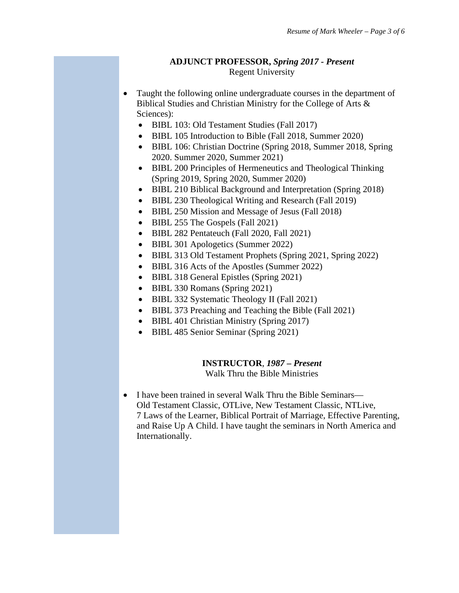#### **ADJUNCT PROFESSOR,** *Spring 2017 - Present* Regent University

- Taught the following online undergraduate courses in the department of Biblical Studies and Christian Ministry for the College of Arts & Sciences):
	- BIBL 103: Old Testament Studies (Fall 2017)
	- BIBL 105 Introduction to Bible (Fall 2018, Summer 2020)
	- BIBL 106: Christian Doctrine (Spring 2018, Summer 2018, Spring 2020. Summer 2020, Summer 2021)
	- BIBL 200 Principles of Hermeneutics and Theological Thinking (Spring 2019, Spring 2020, Summer 2020)
	- BIBL 210 Biblical Background and Interpretation (Spring 2018)
	- BIBL 230 Theological Writing and Research (Fall 2019)
	- BIBL 250 Mission and Message of Jesus (Fall 2018)
	- BIBL 255 The Gospels (Fall 2021)
	- BIBL 282 Pentateuch (Fall 2020, Fall 2021)
	- BIBL 301 Apologetics (Summer 2022)
	- BIBL 313 Old Testament Prophets (Spring 2021, Spring 2022)
	- BIBL 316 Acts of the Apostles (Summer 2022)
	- BIBL 318 General Epistles (Spring 2021)
	- BIBL 330 Romans (Spring 2021)
	- BIBL 332 Systematic Theology II (Fall 2021)
	- BIBL 373 Preaching and Teaching the Bible (Fall 2021)
	- BIBL 401 Christian Ministry (Spring 2017)
	- BIBL 485 Senior Seminar (Spring 2021)

#### **INSTRUCTOR**, *1987 – Present*

Walk Thru the Bible Ministries

• I have been trained in several Walk Thru the Bible Seminars— Old Testament Classic, OTLive, New Testament Classic, NTLive, 7 Laws of the Learner, Biblical Portrait of Marriage, Effective Parenting, and Raise Up A Child. I have taught the seminars in North America and Internationally.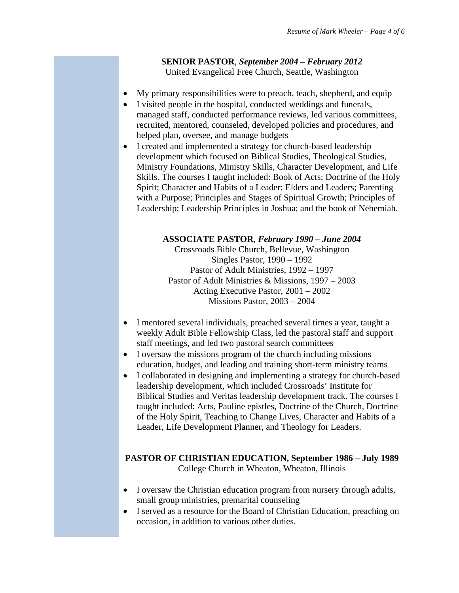## **SENIOR PASTOR**, *September 2004 – February 2012* United Evangelical Free Church, Seattle, Washington

- My primary responsibilities were to preach, teach, shepherd, and equip
- I visited people in the hospital, conducted weddings and funerals, managed staff, conducted performance reviews, led various committees, recruited, mentored, counseled, developed policies and procedures, and helped plan, oversee, and manage budgets
- I created and implemented a strategy for church-based leadership development which focused on Biblical Studies, Theological Studies, Ministry Foundations, Ministry Skills, Character Development, and Life Skills. The courses I taught included: Book of Acts; Doctrine of the Holy Spirit; Character and Habits of a Leader; Elders and Leaders; Parenting with a Purpose; Principles and Stages of Spiritual Growth; Principles of Leadership; Leadership Principles in Joshua; and the book of Nehemiah.

### **ASSOCIATE PASTOR**, *February 1990 – June 2004*

Crossroads Bible Church, Bellevue, Washington Singles Pastor, 1990 – 1992 Pastor of Adult Ministries, 1992 – 1997 Pastor of Adult Ministries & Missions, 1997 – 2003 Acting Executive Pastor, 2001 – 2002 Missions Pastor, 2003 – 2004

- I mentored several individuals, preached several times a year, taught a weekly Adult Bible Fellowship Class, led the pastoral staff and support staff meetings, and led two pastoral search committees
- I oversaw the missions program of the church including missions education, budget, and leading and training short-term ministry teams
- I collaborated in designing and implementing a strategy for church-based leadership development, which included Crossroads' Institute for Biblical Studies and Veritas leadership development track. The courses I taught included: Acts, Pauline epistles, Doctrine of the Church, Doctrine of the Holy Spirit, Teaching to Change Lives, Character and Habits of a Leader, Life Development Planner, and Theology for Leaders.

## **PASTOR OF CHRISTIAN EDUCATION, September 1986 – July 1989** College Church in Wheaton, Wheaton, Illinois

- I oversaw the Christian education program from nursery through adults, small group ministries, premarital counseling
- I served as a resource for the Board of Christian Education, preaching on occasion, in addition to various other duties.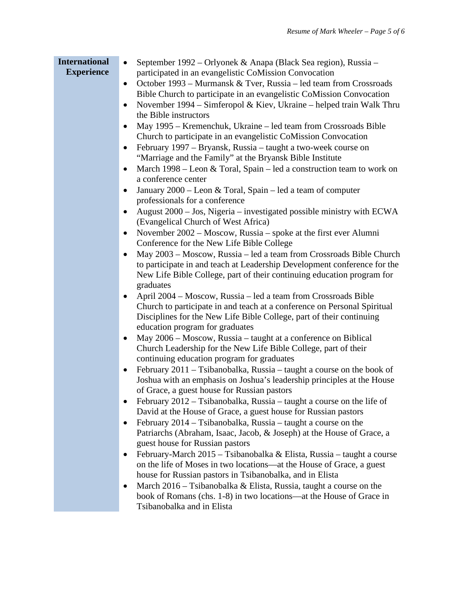| <b>International</b><br><b>Experience</b> | September 1992 – Orlyonek & Anapa (Black Sea region), Russia –<br>$\bullet$<br>participated in an evangelistic CoMission Convocation<br>October 1993 – Murmansk & Tver, Russia – led team from Crossroads<br>$\bullet$<br>Bible Church to participate in an evangelistic CoMission Convocation<br>November 1994 – Simferopol & Kiev, Ukraine – helped train Walk Thru<br>$\bullet$<br>the Bible instructors<br>May 1995 - Kremenchuk, Ukraine - led team from Crossroads Bible<br>Church to participate in an evangelistic CoMission Convocation<br>February 1997 – Bryansk, Russia – taught a two-week course on<br>"Marriage and the Family" at the Bryansk Bible Institute<br>March 1998 – Leon & Toral, Spain – led a construction team to work on<br>$\bullet$<br>a conference center<br>January 2000 – Leon & Toral, Spain – led a team of computer<br>$\bullet$<br>professionals for a conference<br>August 2000 – Jos, Nigeria – investigated possible ministry with ECWA<br>(Evangelical Church of West Africa)<br>November 2002 - Moscow, Russia - spoke at the first ever Alumni<br>$\bullet$<br>Conference for the New Life Bible College<br>May 2003 – Moscow, Russia – led a team from Crossroads Bible Church<br>$\bullet$<br>to participate in and teach at Leadership Development conference for the<br>New Life Bible College, part of their continuing education program for<br>graduates<br>April 2004 - Moscow, Russia - led a team from Crossroads Bible<br>Church to participate in and teach at a conference on Personal Spiritual<br>Disciplines for the New Life Bible College, part of their continuing<br>education program for graduates<br>May 2006 - Moscow, Russia - taught at a conference on Biblical<br>$\bullet$<br>Church Leadership for the New Life Bible College, part of their<br>continuing education program for graduates<br>February 2011 - Tsibanobalka, Russia - taught a course on the book of<br>$\bullet$<br>Joshua with an emphasis on Joshua's leadership principles at the House<br>of Grace, a guest house for Russian pastors<br>February 2012 – Tsibanobalka, Russia – taught a course on the life of<br>$\bullet$<br>David at the House of Grace, a guest house for Russian pastors<br>February 2014 – Tsibanobalka, Russia – taught a course on the<br>$\bullet$<br>Patriarchs (Abraham, Isaac, Jacob, & Joseph) at the House of Grace, a<br>guest house for Russian pastors<br>February-March 2015 – Tsibanobalka & Elista, Russia – taught a course<br>٠<br>on the life of Moses in two locations—at the House of Grace, a guest |
|-------------------------------------------|----------------------------------------------------------------------------------------------------------------------------------------------------------------------------------------------------------------------------------------------------------------------------------------------------------------------------------------------------------------------------------------------------------------------------------------------------------------------------------------------------------------------------------------------------------------------------------------------------------------------------------------------------------------------------------------------------------------------------------------------------------------------------------------------------------------------------------------------------------------------------------------------------------------------------------------------------------------------------------------------------------------------------------------------------------------------------------------------------------------------------------------------------------------------------------------------------------------------------------------------------------------------------------------------------------------------------------------------------------------------------------------------------------------------------------------------------------------------------------------------------------------------------------------------------------------------------------------------------------------------------------------------------------------------------------------------------------------------------------------------------------------------------------------------------------------------------------------------------------------------------------------------------------------------------------------------------------------------------------------------------------------------------------------------------------------------------------------------------------------------------------------------------------------------------------------------------------------------------------------------------------------------------------------------------------------------------------------------------------------------------------------------------------------------------------------------------------------------------------------------------------------------------------------------------------------------------------------------|
|                                           | house for Russian pastors in Tsibanobalka, and in Elista<br>March $2016$ – Tsibanobalka & Elista, Russia, taught a course on the<br>$\bullet$<br>book of Romans (chs. 1-8) in two locations—at the House of Grace in<br>Tsibanobalka and in Elista                                                                                                                                                                                                                                                                                                                                                                                                                                                                                                                                                                                                                                                                                                                                                                                                                                                                                                                                                                                                                                                                                                                                                                                                                                                                                                                                                                                                                                                                                                                                                                                                                                                                                                                                                                                                                                                                                                                                                                                                                                                                                                                                                                                                                                                                                                                                           |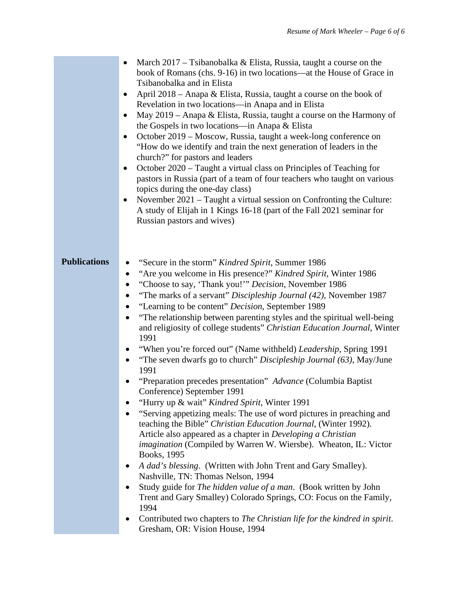|                     | March $2017 - Tsi$ banobalka & Elista, Russia, taught a course on the<br>book of Romans (chs. 9-16) in two locations—at the House of Grace in<br>Tsibanobalka and in Elista<br>April 2018 – Anapa & Elista, Russia, taught a course on the book of<br>$\bullet$<br>Revelation in two locations-in Anapa and in Elista<br>May 2019 - Anapa & Elista, Russia, taught a course on the Harmony of<br>the Gospels in two locations—in Anapa & Elista<br>October 2019 – Moscow, Russia, taught a week-long conference on<br>"How do we identify and train the next generation of leaders in the<br>church?" for pastors and leaders<br>October 2020 – Taught a virtual class on Principles of Teaching for<br>٠<br>pastors in Russia (part of a team of four teachers who taught on various<br>topics during the one-day class)<br>November 2021 – Taught a virtual session on Confronting the Culture:<br>A study of Elijah in 1 Kings 16-18 (part of the Fall 2021 seminar for<br>Russian pastors and wives)                                                                                                                                                                                                                                                                                                                                                                                                                                                                                                          |
|---------------------|-------------------------------------------------------------------------------------------------------------------------------------------------------------------------------------------------------------------------------------------------------------------------------------------------------------------------------------------------------------------------------------------------------------------------------------------------------------------------------------------------------------------------------------------------------------------------------------------------------------------------------------------------------------------------------------------------------------------------------------------------------------------------------------------------------------------------------------------------------------------------------------------------------------------------------------------------------------------------------------------------------------------------------------------------------------------------------------------------------------------------------------------------------------------------------------------------------------------------------------------------------------------------------------------------------------------------------------------------------------------------------------------------------------------------------------------------------------------------------------------------------------------|
| <b>Publications</b> | "Secure in the storm" Kindred Spirit, Summer 1986<br>$\bullet$<br>"Are you welcome in His presence?" Kindred Spirit, Winter 1986<br>$\bullet$<br>"Choose to say, 'Thank you!"" Decision, November 1986<br>$\bullet$<br>"The marks of a servant" Discipleship Journal (42), November 1987<br>"Learning to be content" Decision, September 1989<br>"The relationship between parenting styles and the spiritual well-being<br>and religiosity of college students" Christian Education Journal, Winter<br>1991<br>"When you're forced out" (Name withheld) Leadership, Spring 1991<br>"The seven dwarfs go to church" Discipleship Journal (63), May/June<br>$\bullet$<br>1991<br>"Preparation precedes presentation" Advance (Columbia Baptist)<br>Conference) September 1991<br>"Hurry up & wait" Kindred Spirit, Winter 1991<br>$\bullet$<br>"Serving appetizing meals: The use of word pictures in preaching and<br>teaching the Bible" Christian Education Journal, (Winter 1992).<br>Article also appeared as a chapter in Developing a Christian<br>imagination (Compiled by Warren W. Wiersbe). Wheaton, IL: Victor<br>Books, 1995<br>A dad's blessing. (Written with John Trent and Gary Smalley).<br>Nashville, TN: Thomas Nelson, 1994<br>Study guide for The hidden value of a man. (Book written by John<br>Trent and Gary Smalley) Colorado Springs, CO: Focus on the Family,<br>1994<br>Contributed two chapters to The Christian life for the kindred in spirit.<br>Gresham, OR: Vision House, 1994 |